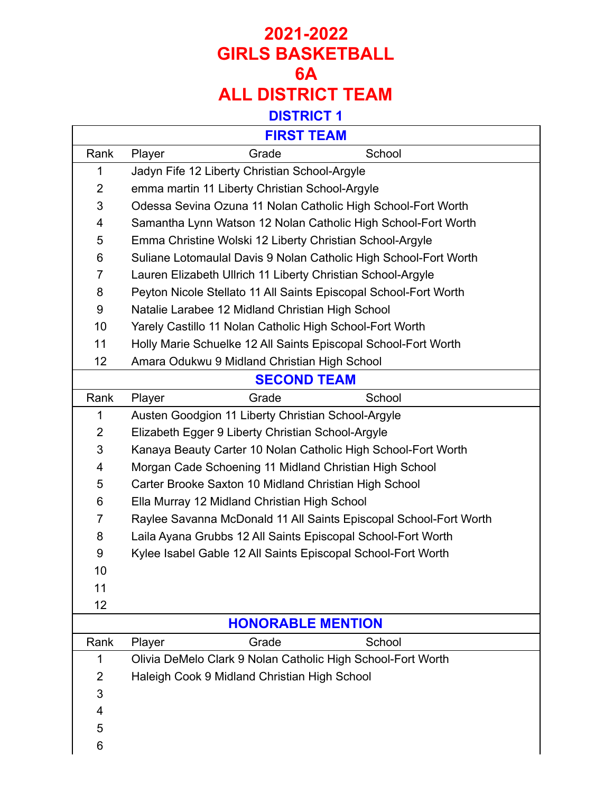#### **DISTRICT 1**

| <b>FIRST TEAM</b> |
|-------------------|
|-------------------|

 $\overline{\Gamma}$ 

|                    | FIRSI IEAM                                                        |  |  |
|--------------------|-------------------------------------------------------------------|--|--|
| Rank               | Player<br>Grade<br>School                                         |  |  |
| 1                  | Jadyn Fife 12 Liberty Christian School-Argyle                     |  |  |
| $\overline{2}$     | emma martin 11 Liberty Christian School-Argyle                    |  |  |
| 3                  | Odessa Sevina Ozuna 11 Nolan Catholic High School-Fort Worth      |  |  |
| 4                  | Samantha Lynn Watson 12 Nolan Catholic High School-Fort Worth     |  |  |
| 5                  | Emma Christine Wolski 12 Liberty Christian School-Argyle          |  |  |
| 6                  | Suliane Lotomaulal Davis 9 Nolan Catholic High School-Fort Worth  |  |  |
| $\overline{7}$     | Lauren Elizabeth Ullrich 11 Liberty Christian School-Argyle       |  |  |
| 8                  | Peyton Nicole Stellato 11 All Saints Episcopal School-Fort Worth  |  |  |
| 9                  | Natalie Larabee 12 Midland Christian High School                  |  |  |
| 10                 | Yarely Castillo 11 Nolan Catholic High School-Fort Worth          |  |  |
| 11                 | Holly Marie Schuelke 12 All Saints Episcopal School-Fort Worth    |  |  |
| 12                 | Amara Odukwu 9 Midland Christian High School                      |  |  |
| <b>SECOND TEAM</b> |                                                                   |  |  |
| Rank               | Grade<br>School<br>Player                                         |  |  |
| 1                  | Austen Goodgion 11 Liberty Christian School-Argyle                |  |  |
| $\overline{2}$     | Elizabeth Egger 9 Liberty Christian School-Argyle                 |  |  |
| 3                  | Kanaya Beauty Carter 10 Nolan Catholic High School-Fort Worth     |  |  |
| 4                  | Morgan Cade Schoening 11 Midland Christian High School            |  |  |
| 5                  | Carter Brooke Saxton 10 Midland Christian High School             |  |  |
| 6                  | Ella Murray 12 Midland Christian High School                      |  |  |
| $\overline{7}$     | Raylee Savanna McDonald 11 All Saints Episcopal School-Fort Worth |  |  |
| 8                  | Laila Ayana Grubbs 12 All Saints Episcopal School-Fort Worth      |  |  |
| 9                  | Kylee Isabel Gable 12 All Saints Episcopal School-Fort Worth      |  |  |
| 10                 |                                                                   |  |  |
| 11                 |                                                                   |  |  |
| 12                 |                                                                   |  |  |
|                    | <b>HONORABLE MENTION</b>                                          |  |  |
| Rank               | School<br>Grade<br>Player                                         |  |  |
| 1                  | Olivia DeMelo Clark 9 Nolan Catholic High School-Fort Worth       |  |  |
| 2                  | Haleigh Cook 9 Midland Christian High School                      |  |  |
| 3                  |                                                                   |  |  |
| 4                  |                                                                   |  |  |
| 5                  |                                                                   |  |  |
| 6                  |                                                                   |  |  |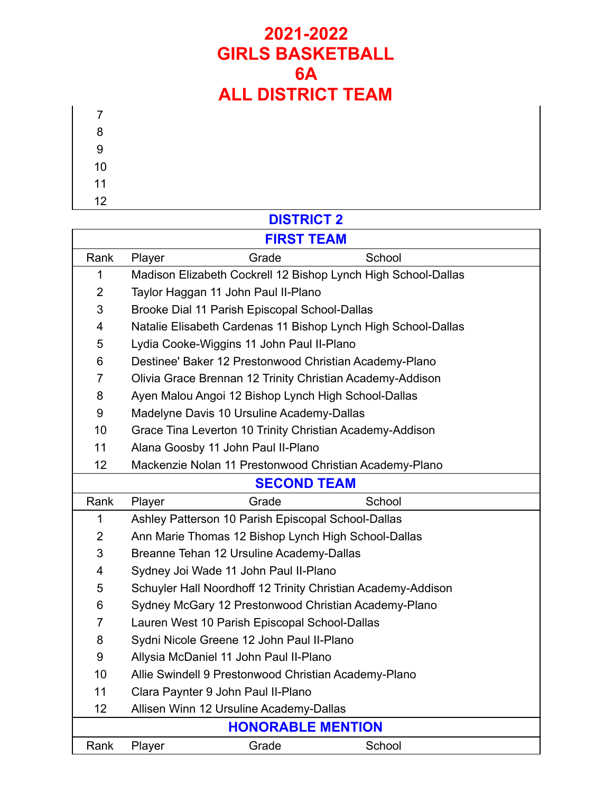- 
- 
- 
- 

### **DISTRICT 2**

| <b>FIRST TEAM</b>        |                                                               |                                                           |                                                               |  |
|--------------------------|---------------------------------------------------------------|-----------------------------------------------------------|---------------------------------------------------------------|--|
| Rank                     | Player                                                        | Grade                                                     | School                                                        |  |
| 1                        |                                                               |                                                           | Madison Elizabeth Cockrell 12 Bishop Lynch High School-Dallas |  |
| $\overline{2}$           | Taylor Haggan 11 John Paul II-Plano                           |                                                           |                                                               |  |
| 3                        | Brooke Dial 11 Parish Episcopal School-Dallas                 |                                                           |                                                               |  |
| 4                        | Natalie Elisabeth Cardenas 11 Bishop Lynch High School-Dallas |                                                           |                                                               |  |
| 5                        |                                                               | Lydia Cooke-Wiggins 11 John Paul II-Plano                 |                                                               |  |
| 6                        | Destinee' Baker 12 Prestonwood Christian Academy-Plano        |                                                           |                                                               |  |
| $\overline{7}$           |                                                               | Olivia Grace Brennan 12 Trinity Christian Academy-Addison |                                                               |  |
| 8                        |                                                               | Ayen Malou Angoi 12 Bishop Lynch High School-Dallas       |                                                               |  |
| 9                        |                                                               | Madelyne Davis 10 Ursuline Academy-Dallas                 |                                                               |  |
| 10                       |                                                               | Grace Tina Leverton 10 Trinity Christian Academy-Addison  |                                                               |  |
| 11                       |                                                               | Alana Goosby 11 John Paul II-Plano                        |                                                               |  |
| 12                       |                                                               | Mackenzie Nolan 11 Prestonwood Christian Academy-Plano    |                                                               |  |
|                          |                                                               | <b>SECOND TEAM</b>                                        |                                                               |  |
| Rank                     | Player                                                        | Grade                                                     | School                                                        |  |
| 1                        |                                                               | Ashley Patterson 10 Parish Episcopal School-Dallas        |                                                               |  |
| $\overline{2}$           |                                                               | Ann Marie Thomas 12 Bishop Lynch High School-Dallas       |                                                               |  |
| 3                        | Breanne Tehan 12 Ursuline Academy-Dallas                      |                                                           |                                                               |  |
| 4                        |                                                               | Sydney Joi Wade 11 John Paul II-Plano                     |                                                               |  |
| 5                        |                                                               |                                                           | Schuyler Hall Noordhoff 12 Trinity Christian Academy-Addison  |  |
| 6                        |                                                               | Sydney McGary 12 Prestonwood Christian Academy-Plano      |                                                               |  |
| 7                        |                                                               | Lauren West 10 Parish Episcopal School-Dallas             |                                                               |  |
| 8                        |                                                               | Sydni Nicole Greene 12 John Paul II-Plano                 |                                                               |  |
| 9                        |                                                               | Allysia McDaniel 11 John Paul II-Plano                    |                                                               |  |
| 10                       |                                                               | Allie Swindell 9 Prestonwood Christian Academy-Plano      |                                                               |  |
| 11                       |                                                               | Clara Paynter 9 John Paul II-Plano                        |                                                               |  |
| 12                       |                                                               | Allisen Winn 12 Ursuline Academy-Dallas                   |                                                               |  |
| <b>HONORABLE MENTION</b> |                                                               |                                                           |                                                               |  |
| Rank                     | Player                                                        | Grade                                                     | School                                                        |  |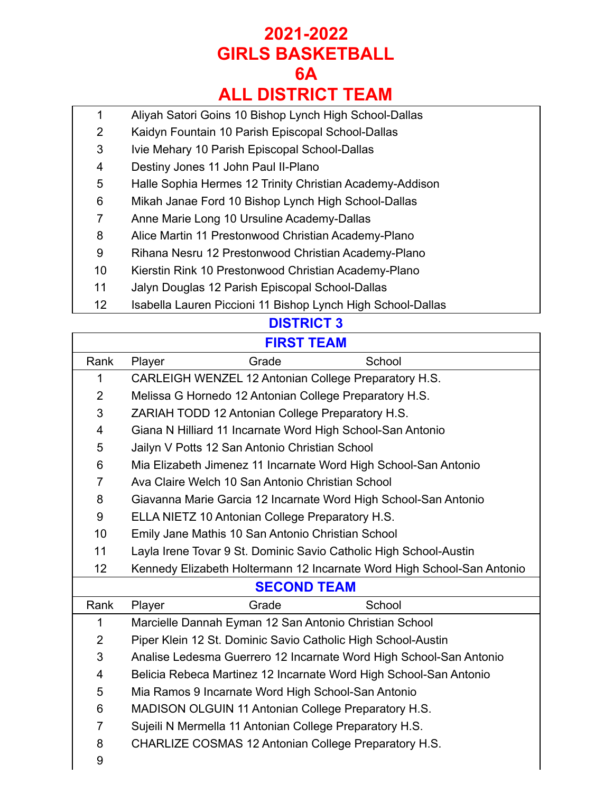- Aliyah Satori Goins 10 Bishop Lynch High School-Dallas
- Kaidyn Fountain 10 Parish Episcopal School-Dallas
- Ivie Mehary 10 Parish Episcopal School-Dallas
- Destiny Jones 11 John Paul II-Plano
- Halle Sophia Hermes 12 Trinity Christian Academy-Addison
- Mikah Janae Ford 10 Bishop Lynch High School-Dallas
- Anne Marie Long 10 Ursuline Academy-Dallas
- Alice Martin 11 Prestonwood Christian Academy-Plano
- Rihana Nesru 12 Prestonwood Christian Academy-Plano
- Kierstin Rink 10 Prestonwood Christian Academy-Plano
- Jalyn Douglas 12 Parish Episcopal School-Dallas
- 12 Isabella Lauren Piccioni 11 Bishop Lynch High School-Dallas

### **DISTRICT 3**

#### **FIRST TEAM**

| Rank               | School<br>Player<br>Grade                                              |  |  |
|--------------------|------------------------------------------------------------------------|--|--|
| 1                  | CARLEIGH WENZEL 12 Antonian College Preparatory H.S.                   |  |  |
| $\overline{2}$     | Melissa G Hornedo 12 Antonian College Preparatory H.S.                 |  |  |
| 3                  | ZARIAH TODD 12 Antonian College Preparatory H.S.                       |  |  |
| 4                  | Giana N Hilliard 11 Incarnate Word High School-San Antonio             |  |  |
| 5                  | Jailyn V Potts 12 San Antonio Christian School                         |  |  |
| 6                  | Mia Elizabeth Jimenez 11 Incarnate Word High School-San Antonio        |  |  |
| $\overline{7}$     | Ava Claire Welch 10 San Antonio Christian School                       |  |  |
| 8                  | Giavanna Marie Garcia 12 Incarnate Word High School-San Antonio        |  |  |
| 9                  | ELLA NIETZ 10 Antonian College Preparatory H.S.                        |  |  |
| 10                 | Emily Jane Mathis 10 San Antonio Christian School                      |  |  |
| 11                 | Layla Irene Tovar 9 St. Dominic Savio Catholic High School-Austin      |  |  |
| 12                 | Kennedy Elizabeth Holtermann 12 Incarnate Word High School-San Antonio |  |  |
| <b>SECOND TEAM</b> |                                                                        |  |  |
| Rank               | School<br>Player<br>Grade                                              |  |  |
| 1                  | Marcielle Dannah Eyman 12 San Antonio Christian School                 |  |  |
| $\overline{2}$     | Piper Klein 12 St. Dominic Savio Catholic High School-Austin           |  |  |
| 3                  | Analise Ledesma Guerrero 12 Incarnate Word High School-San Antonio     |  |  |
| 4                  | Belicia Rebeca Martinez 12 Incarnate Word High School-San Antonio      |  |  |
| 5                  | Mia Ramos 9 Incarnate Word High School-San Antonio                     |  |  |
| 6                  | MADISON OLGUIN 11 Antonian College Preparatory H.S.                    |  |  |
| $\overline{7}$     | Sujeili N Mermella 11 Antonian College Preparatory H.S.                |  |  |
| 8                  | CHARLIZE COSMAS 12 Antonian College Preparatory H.S.                   |  |  |
| 9                  |                                                                        |  |  |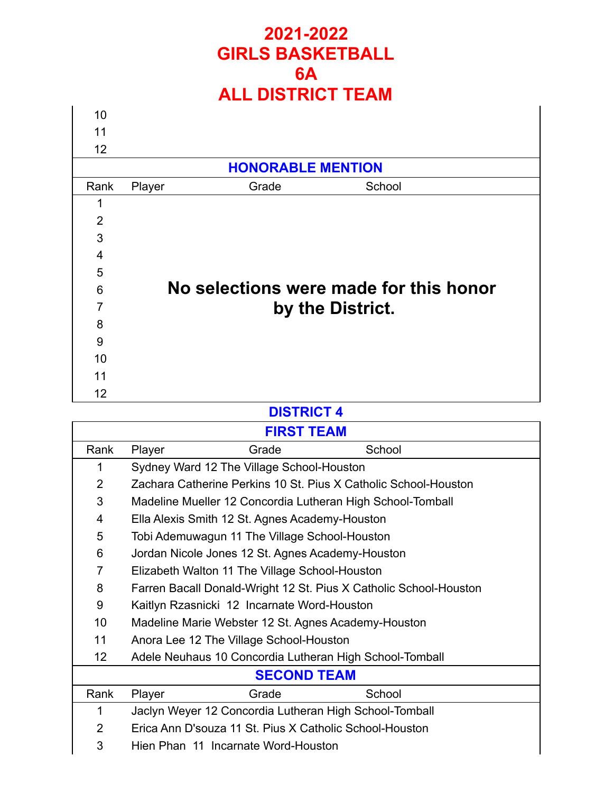| 10             |                          |                                        |
|----------------|--------------------------|----------------------------------------|
| 11             |                          |                                        |
| 12             |                          |                                        |
|                | <b>HONORABLE MENTION</b> |                                        |
| Rank           | Grade<br>Player          | School                                 |
| 1              |                          |                                        |
| $\overline{2}$ |                          |                                        |
| 3              |                          |                                        |
| $\overline{4}$ |                          |                                        |
| 5              |                          |                                        |
| 6              |                          | No selections were made for this honor |
| $\overline{7}$ |                          | by the District.                       |
| 8              |                          |                                        |
| 9              |                          |                                        |
| 10             |                          |                                        |
| 11             |                          |                                        |
| 12             |                          |                                        |

#### **DISTRICT 4**

| <b>FIRST TEAM</b>  |                                                                   |       |        |
|--------------------|-------------------------------------------------------------------|-------|--------|
| Rank               | Player                                                            | Grade | School |
| 1                  | Sydney Ward 12 The Village School-Houston                         |       |        |
| $\overline{2}$     | Zachara Catherine Perkins 10 St. Pius X Catholic School-Houston   |       |        |
| 3                  | Madeline Mueller 12 Concordia Lutheran High School-Tomball        |       |        |
| 4                  | Ella Alexis Smith 12 St. Agnes Academy-Houston                    |       |        |
| 5                  | Tobi Ademuwagun 11 The Village School-Houston                     |       |        |
| 6                  | Jordan Nicole Jones 12 St. Agnes Academy-Houston                  |       |        |
| 7                  | Elizabeth Walton 11 The Village School-Houston                    |       |        |
| 8                  | Farren Bacall Donald-Wright 12 St. Pius X Catholic School-Houston |       |        |
| 9                  | Kaitlyn Rzasnicki 12 Incarnate Word-Houston                       |       |        |
| 10                 | Madeline Marie Webster 12 St. Agnes Academy-Houston               |       |        |
| 11                 | Anora Lee 12 The Village School-Houston                           |       |        |
| 12                 | Adele Neuhaus 10 Concordia Lutheran High School-Tomball           |       |        |
| <b>SECOND TEAM</b> |                                                                   |       |        |
| Rank               | Player                                                            | Grade | School |
| 1                  | Jaclyn Weyer 12 Concordia Lutheran High School-Tomball            |       |        |
| $\overline{2}$     | Erica Ann D'souza 11 St. Pius X Catholic School-Houston           |       |        |
| 3                  | Hien Phan 11 Incarnate Word-Houston                               |       |        |